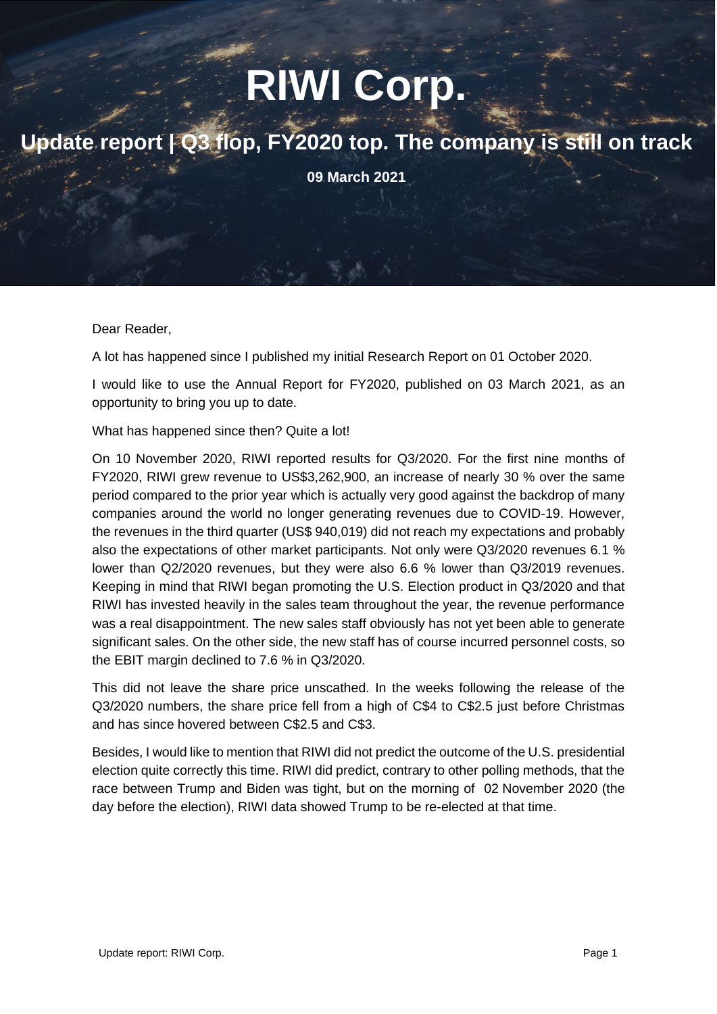# **RIWI Corp.**

### **Update report | Q3 flop, FY2020 top. The company is still on track**

**09 March 2021**

Dear Reader,

A lot has happened since I published my initial Research Report on 01 October 2020.

I would like to use the Annual Report for FY2020, published on 03 March 2021, as an opportunity to bring you up to date.

What has happened since then? Quite a lot!

On 10 November 2020, RIWI reported results for Q3/2020. For the first nine months of FY2020, RIWI grew revenue to US\$3,262,900, an increase of nearly 30 % over the same period compared to the prior year which is actually very good against the backdrop of many companies around the world no longer generating revenues due to COVID-19. However, the revenues in the third quarter (US\$ 940,019) did not reach my expectations and probably also the expectations of other market participants. Not only were Q3/2020 revenues 6.1 % lower than Q2/2020 revenues, but they were also 6.6 % lower than Q3/2019 revenues. Keeping in mind that RIWI began promoting the U.S. Election product in Q3/2020 and that RIWI has invested heavily in the sales team throughout the year, the revenue performance was a real disappointment. The new sales staff obviously has not yet been able to generate significant sales. On the other side, the new staff has of course incurred personnel costs, so the EBIT margin declined to 7.6 % in Q3/2020.

This did not leave the share price unscathed. In the weeks following the release of the Q3/2020 numbers, the share price fell from a high of C\$4 to C\$2.5 just before Christmas and has since hovered between C\$2.5 and C\$3.

Besides, I would like to mention that RIWI did not predict the outcome of the U.S. presidential election quite correctly this time. RIWI did predict, contrary to other polling methods, that the race between Trump and Biden was tight, but on the morning of 02 November 2020 (the day before the election), RIWI data showed Trump to be re-elected at that time.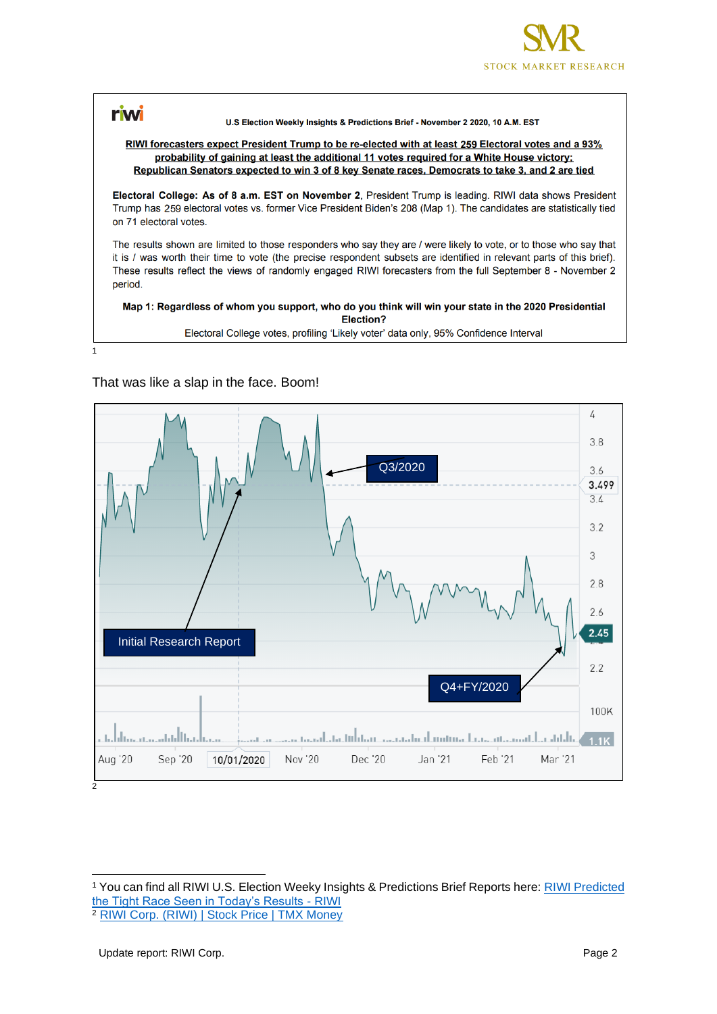

#### riwi U.S Election Weekly Insights & Predictions Brief - November 2 2020, 10 A.M. EST RIWI forecasters expect President Trump to be re-elected with at least 259 Electoral votes and a 93% probability of gaining at least the additional 11 votes required for a White House victory; Republican Senators expected to win 3 of 8 key Senate races, Democrats to take 3, and 2 are tied Electoral College: As of 8 a.m. EST on November 2, President Trump is leading. RIWI data shows President Trump has 259 electoral votes vs. former Vice President Biden's 208 (Map 1). The candidates are statistically tied on 71 electoral votes. The results shown are limited to those responders who say they are / were likely to vote, or to those who say that it is / was worth their time to vote (the precise respondent subsets are identified in relevant parts of this brief). These results reflect the views of randomly engaged RIWI forecasters from the full September 8 - November 2 period. Map 1: Regardless of whom you support, who do you think will win your state in the 2020 Presidential **Election?** Electoral College votes, profiling 'Likely voter' data only, 95% Confidence Interval

#### That was like a slap in the face. Boom!

1



<sup>1</sup> You can find all RIWI U.S. Election Weeky Insights & Predictions Brief Reports here: [RIWI Predicted](https://riwi.com/research/riwi-2020-us-election/)  [the Tight Race Seen in Today's Results -](https://riwi.com/research/riwi-2020-us-election/) RIWI

<sup>2</sup> [RIWI Corp. \(RIWI\) | Stock Price | TMX Money](https://money.tmx.com/en/quote/RIWI)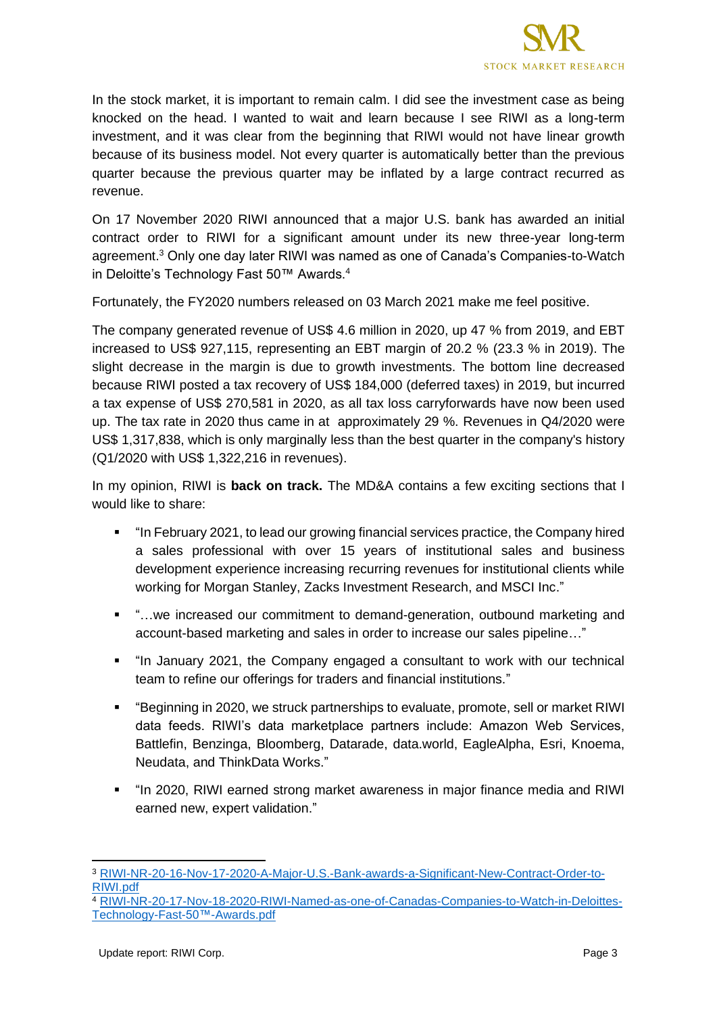

In the stock market, it is important to remain calm. I did see the investment case as being knocked on the head. I wanted to wait and learn because I see RIWI as a long-term investment, and it was clear from the beginning that RIWI would not have linear growth because of its business model. Not every quarter is automatically better than the previous quarter because the previous quarter may be inflated by a large contract recurred as revenue.

On 17 November 2020 RIWI announced that a major U.S. bank has awarded an initial contract order to RIWI for a significant amount under its new three-year long-term agreement.<sup>3</sup> Only one day later RIWI was named as one of Canada's Companies-to-Watch in Deloitte's Technology Fast 50™ Awards. 4

Fortunately, the FY2020 numbers released on 03 March 2021 make me feel positive.

The company generated revenue of US\$ 4.6 million in 2020, up 47 % from 2019, and EBT increased to US\$ 927,115, representing an EBT margin of 20.2 % (23.3 % in 2019). The slight decrease in the margin is due to growth investments. The bottom line decreased because RIWI posted a tax recovery of US\$ 184,000 (deferred taxes) in 2019, but incurred a tax expense of US\$ 270,581 in 2020, as all tax loss carryforwards have now been used up. The tax rate in 2020 thus came in at approximately 29 %. Revenues in Q4/2020 were US\$ 1,317,838, which is only marginally less than the best quarter in the company's history (Q1/2020 with US\$ 1,322,216 in revenues).

In my opinion, RIWI is **back on track.** The MD&A contains a few exciting sections that I would like to share:

- "In February 2021, to lead our growing financial services practice, the Company hired a sales professional with over 15 years of institutional sales and business development experience increasing recurring revenues for institutional clients while working for Morgan Stanley, Zacks Investment Research, and MSCI Inc."
- "…we increased our commitment to demand-generation, outbound marketing and account-based marketing and sales in order to increase our sales pipeline…"
- "In January 2021, the Company engaged a consultant to work with our technical team to refine our offerings for traders and financial institutions."
- "Beginning in 2020, we struck partnerships to evaluate, promote, sell or market RIWI data feeds. RIWI's data marketplace partners include: Amazon Web Services, Battlefin, Benzinga, Bloomberg, Datarade, data.world, EagleAlpha, Esri, Knoema, Neudata, and ThinkData Works."
- "In 2020, RIWI earned strong market awareness in major finance media and RIWI earned new, expert validation."

<sup>3</sup> [RIWI-NR-20-16-Nov-17-2020-A-Major-U.S.-Bank-awards-a-Significant-New-Contract-Order-to-](https://riwi.com/wp-content/uploads/2020/12/RIWI-NR-20-16-Nov-17-2020-A-Major-U.S.-Bank-awards-a-Significant-New-Contract-Order-to-RIWI.pdf)[RIWI.pdf](https://riwi.com/wp-content/uploads/2020/12/RIWI-NR-20-16-Nov-17-2020-A-Major-U.S.-Bank-awards-a-Significant-New-Contract-Order-to-RIWI.pdf)

<sup>4</sup> [RIWI-NR-20-17-Nov-18-2020-RIWI-Named-as-one-of-Canadas-Companies-to-Watch-in-Deloittes-](https://riwi.com/wp-content/uploads/2020/11/RIWI-NR-20-17-Nov-18-2020-RIWI-Named-as-one-of-Canadas-Companies-to-Watch-in-Deloittes-Technology-Fast-50%E2%84%A2-Awards.pdf)[Technology-Fast-50™-Awards.pdf](https://riwi.com/wp-content/uploads/2020/11/RIWI-NR-20-17-Nov-18-2020-RIWI-Named-as-one-of-Canadas-Companies-to-Watch-in-Deloittes-Technology-Fast-50%E2%84%A2-Awards.pdf)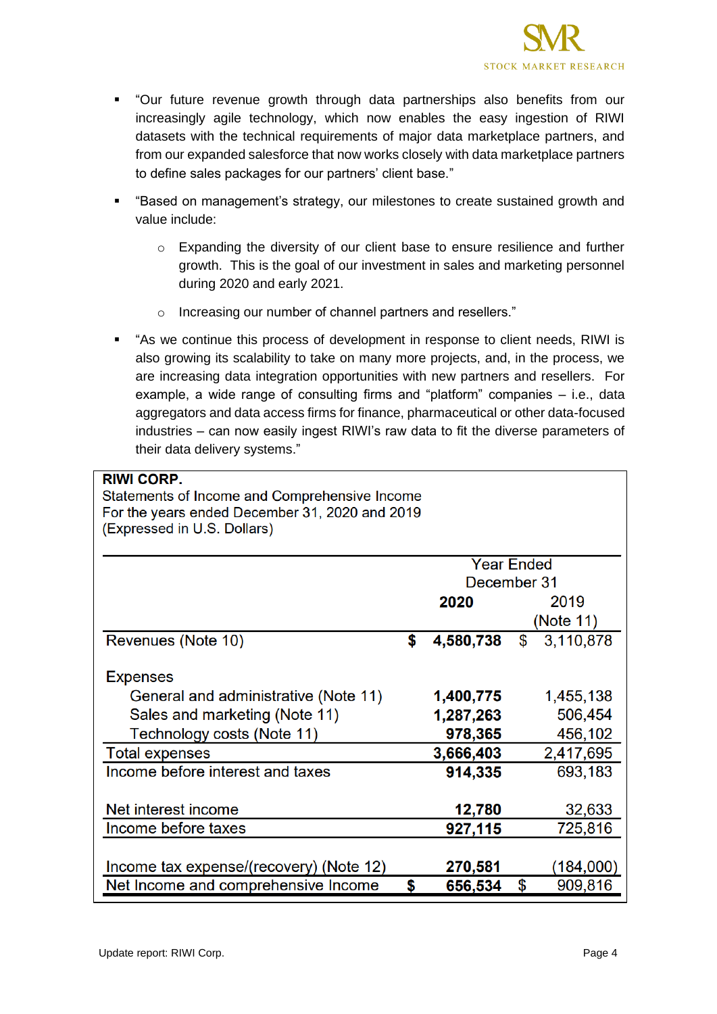

- "Our future revenue growth through data partnerships also benefits from our increasingly agile technology, which now enables the easy ingestion of RIWI datasets with the technical requirements of major data marketplace partners, and from our expanded salesforce that now works closely with data marketplace partners to define sales packages for our partners' client base."
- "Based on management's strategy, our milestones to create sustained growth and value include:
	- o Expanding the diversity of our client base to ensure resilience and further growth. This is the goal of our investment in sales and marketing personnel during 2020 and early 2021.
	- o Increasing our number of channel partners and resellers."
- "As we continue this process of development in response to client needs, RIWI is also growing its scalability to take on many more projects, and, in the process, we are increasing data integration opportunities with new partners and resellers. For example, a wide range of consulting firms and "platform" companies – i.e., data aggregators and data access firms for finance, pharmaceutical or other data-focused industries – can now easily ingest RIWI's raw data to fit the diverse parameters of their data delivery systems."

| <b>RIWI CORP.</b>                              |                   |             |                 |  |  |  |
|------------------------------------------------|-------------------|-------------|-----------------|--|--|--|
| Statements of Income and Comprehensive Income  |                   |             |                 |  |  |  |
| For the years ended December 31, 2020 and 2019 |                   |             |                 |  |  |  |
| (Expressed in U.S. Dollars)                    |                   |             |                 |  |  |  |
|                                                |                   |             |                 |  |  |  |
|                                                | <b>Year Ended</b> |             |                 |  |  |  |
|                                                |                   | December 31 |                 |  |  |  |
|                                                |                   | 2020        | 2019            |  |  |  |
|                                                |                   |             | (Note 11)       |  |  |  |
| Revenues (Note 10)                             | \$                | 4,580,738   | \$<br>3,110,878 |  |  |  |
|                                                |                   |             |                 |  |  |  |
| <b>Expenses</b>                                |                   |             |                 |  |  |  |
| General and administrative (Note 11)           |                   | 1,400,775   | 1,455,138       |  |  |  |
| Sales and marketing (Note 11)                  |                   | 1,287,263   | 506,454         |  |  |  |
| Technology costs (Note 11)                     |                   | 978,365     | 456,102         |  |  |  |
| <b>Total expenses</b>                          |                   | 3,666,403   | 2,417,695       |  |  |  |
| Income before interest and taxes               |                   | 914,335     | 693,183         |  |  |  |
|                                                |                   |             |                 |  |  |  |
| Net interest income                            |                   | 12,780      | 32,633          |  |  |  |
| Income before taxes                            |                   | 927,115     | 725,816         |  |  |  |
|                                                |                   |             |                 |  |  |  |
| Income tax expense/(recovery) (Note 12)        |                   | 270,581     | (184,000)       |  |  |  |
| Net Income and comprehensive Income            | \$                | 656,534     | \$<br>909,816   |  |  |  |
|                                                |                   |             |                 |  |  |  |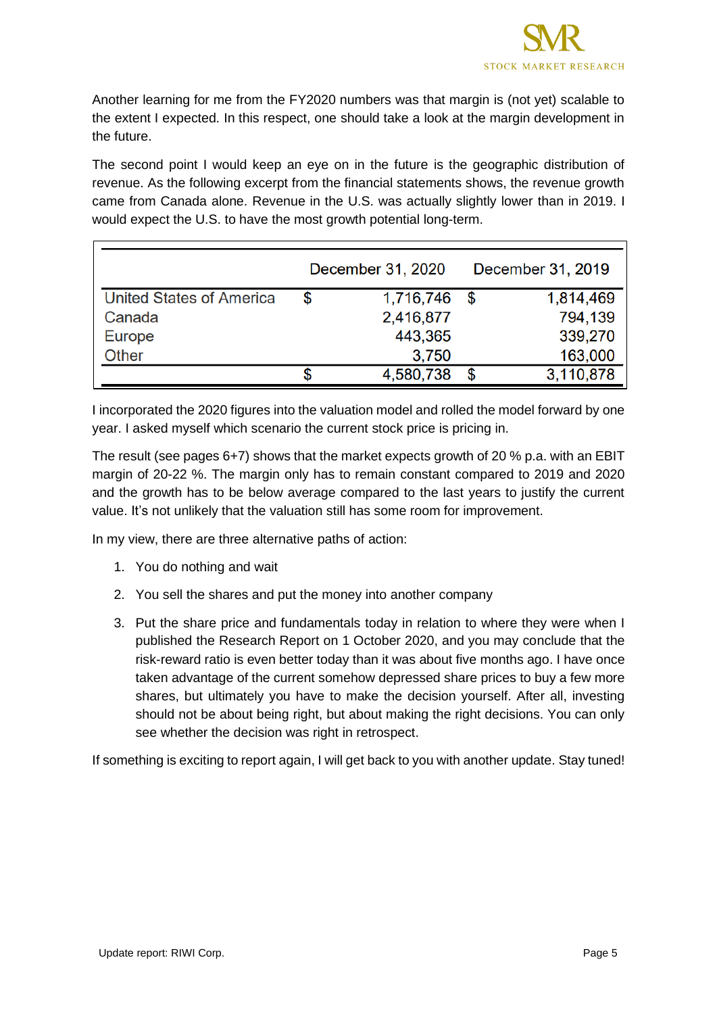

Another learning for me from the FY2020 numbers was that margin is (not yet) scalable to the extent I expected. In this respect, one should take a look at the margin development in the future.

The second point I would keep an eye on in the future is the geographic distribution of revenue. As the following excerpt from the financial statements shows, the revenue growth came from Canada alone. Revenue in the U.S. was actually slightly lower than in 2019. I would expect the U.S. to have the most growth potential long-term.

|                                 | December 31, 2020 | December 31, 2019 |           |  |
|---------------------------------|-------------------|-------------------|-----------|--|
| <b>United States of America</b> | \$<br>1,716,746   | \$                | 1,814,469 |  |
| Canada                          | 2,416,877         |                   | 794,139   |  |
| <b>Europe</b>                   | 443,365           |                   | 339,270   |  |
| Other                           | 3,750             |                   | 163,000   |  |
|                                 | 4,580,738         |                   | 3,110,878 |  |

I incorporated the 2020 figures into the valuation model and rolled the model forward by one year. I asked myself which scenario the current stock price is pricing in.

The result (see pages 6+7) shows that the market expects growth of 20 % p.a. with an EBIT margin of 20-22 %. The margin only has to remain constant compared to 2019 and 2020 and the growth has to be below average compared to the last years to justify the current value. It's not unlikely that the valuation still has some room for improvement.

In my view, there are three alternative paths of action:

- 1. You do nothing and wait
- 2. You sell the shares and put the money into another company
- 3. Put the share price and fundamentals today in relation to where they were when I published the Research Report on 1 October 2020, and you may conclude that the risk-reward ratio is even better today than it was about five months ago. I have once taken advantage of the current somehow depressed share prices to buy a few more shares, but ultimately you have to make the decision yourself. After all, investing should not be about being right, but about making the right decisions. You can only see whether the decision was right in retrospect.

If something is exciting to report again, I will get back to you with another update. Stay tuned!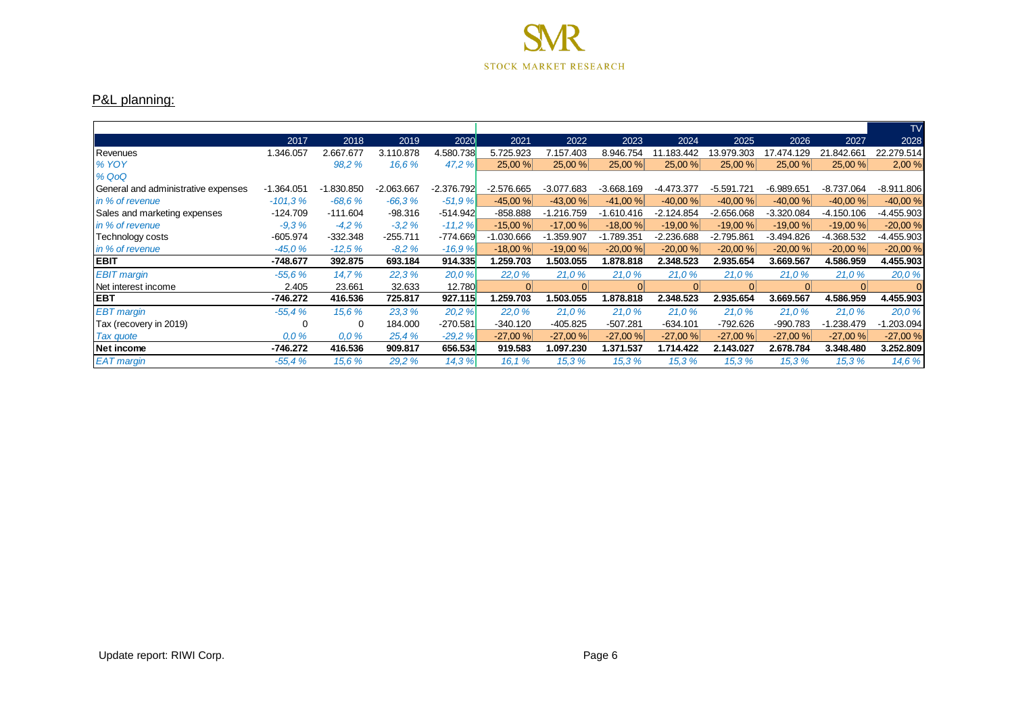

#### P&L planning:

|                                     |              |              |            |              |            |              |              |              |              |              |              | <b>TV</b>    |
|-------------------------------------|--------------|--------------|------------|--------------|------------|--------------|--------------|--------------|--------------|--------------|--------------|--------------|
|                                     | 2017         | 2018         | 2019       | 2020         | 2021       | 2022         | 2023         | 2024         | 2025         | 2026         | 2027         | 2028         |
| Revenues                            | 1.346.057    | 2.667.677    | 3.110.878  | 4.580.738    | 5.725.923  | 7.157.403    | 8.946.754    | 11.183.442   | 13.979.303   | 17.474.129   | 21.842.661   | 22.279.514   |
| <b>% YOY</b>                        |              | 98,2 %       | 16.6%      | 47.2 %       | 25,00 %    | 25,00 %      | 25,00 %      | 25,00 %      | 25,00 %      | 25,00 %      | 25,00 %      | 2,00%        |
| % QoQ                               |              |              |            |              |            |              |              |              |              |              |              |              |
| General and administrative expenses | $-1.364.051$ | $-1.830.850$ | -2.063.667 | $-2.376.792$ | -2.576.665 | $-3.077.683$ | $-3.668.169$ | -4.473.377   | $-5.591.721$ | $-6.989.651$ | -8.737.064   | $-8.911.806$ |
| in % of revenue                     | $-101.3%$    | $-68.6%$     | $-66.3%$   | $-51,9%$     | $-45,00%$  | $-43,00%$    | $-41,00%$    | $-40,00%$    | $-40,00%$    | $-40,00%$    | $-40,00%$    | $-40,00%$    |
| Sales and marketing expenses        | $-124.709$   | $-111.604$   | $-98.316$  | $-514.942$   | $-858.888$ | $-1.216.759$ | $-1.610.416$ | $-2.124.854$ | -2.656.068   | $-3.320.084$ | -4.150.106   | $-4.455.903$ |
| in % of revenue                     | $-9.3%$      | $-4.2%$      | $-3.2%$    | $-11,2%$     | $-15,00%$  | $-17,00%$    | $-18,00%$    | $-19,00%$    | $-19,00%$    | $-19,00%$    | $-19,00%$    | $-20,00%$    |
| Technology costs                    | $-605.974$   | $-332.348$   | $-255.711$ | $-774.669$   | -1.030.666 | $-1.359.907$ | -1.789.351   | $-2.236.688$ | $-2.795.861$ | -3.494.826   | -4.368.532   | $-4.455.903$ |
| in % of revenue                     | $-45.0%$     | $-12.5%$     | $-8.2%$    | $-16.9%$     | $-18,00%$  | $-19,00%$    | $-20,00%$    | $-20,00%$    | $-20,00%$    | $-20,00%$    | $-20,00%$    | $-20,00%$    |
| <b>EBIT</b>                         | -748.677     | 392.875      | 693.184    | 914.335      | .259.703   | 1.503.055    | 1.878.818    | 2.348.523    | 2.935.654    | 3.669.567    | 4.586.959    | 4.455.903    |
| <b>EBIT</b> margin                  | $-55.6%$     | 14.7%        | 22,3%      | 20.0 %       | 22,0%      | 21.0%        | 21,0%        | 21,0%        | 21,0%        | 21,0%        | 21,0%        | 20,0 %       |
| Net interest income                 | 2.405        | 23.661       | 32.633     | 12.780       | 0          | 0            | 0            | 0            | 0            | 0            | $\Omega$     |              |
| <b>EBT</b>                          | $-746.272$   | 416.536      | 725.817    | 927.115      | 1.259.703  | 1.503.055    | 1.878.818    | 2.348.523    | 2.935.654    | 3.669.567    | 4.586.959    | 4.455.903    |
| <b>EBT</b> margin                   | $-55.4%$     | 15.6 %       | 23.3 %     | 20,2 %       | 22,0%      | 21.0%        | 21.0%        | 21.0%        | 21.0%        | 21.0%        | 21.0%        | 20.0%        |
| Tax (recovery in 2019)              |              | $\Omega$     | 184.000    | $-270.581$   | $-340.120$ | $-405.825$   | $-507.281$   | $-634.101$   | -792.626     | -990.783     | $-1.238.479$ | $-1.203.094$ |
| <b>Tax quote</b>                    | 0,0%         | 0,0%         | 25,4 %     | $-29,2%$     | $-27,00%$  | $-27,00%$    | $-27,00%$    | $-27,00%$    | $-27,00%$    | $-27,00%$    | $-27,00%$    | $-27,00%$    |
| Net income                          | -746.272     | 416.536      | 909.817    | 656.534      | 919.583    | 1.097.230    | 1.371.537    | 1.714.422    | 2.143.027    | 2.678.784    | 3.348.480    | 3.252.809    |
| <b>EAT</b> margin                   | $-55.4%$     | 15,6 %       | 29,2 %     | 14.3%        | 16.1%      | 15,3%        | 15,3%        | 15,3%        | 15,3%        | 15,3%        | 15,3%        | 14,6 %       |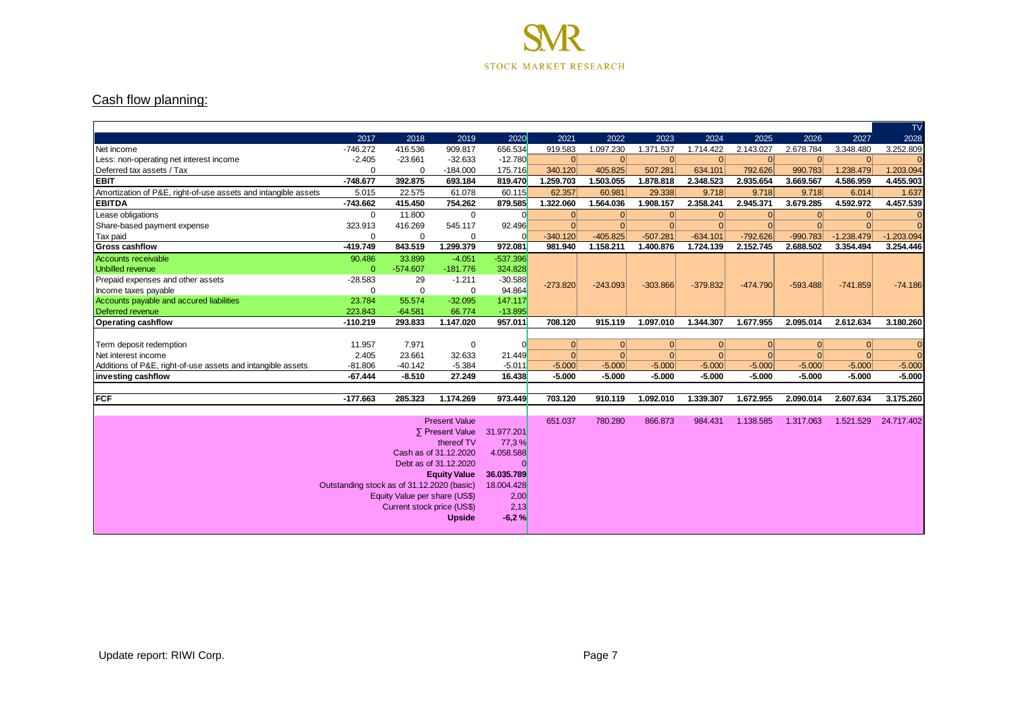

#### Cash flow planning:

|                                                                |                                            |                               |                       |            |            |            |            |            |            |            |              | TV           |
|----------------------------------------------------------------|--------------------------------------------|-------------------------------|-----------------------|------------|------------|------------|------------|------------|------------|------------|--------------|--------------|
|                                                                | 2017                                       | 2018                          | 2019                  | 2020       | 2021       | 2022       | 2023       | 2024       | 2025       | 2026       | 2027         | 2028         |
| Net income                                                     | $-746.272$                                 | 416.536                       | 909.817               | 656.534    | 919.583    | 1.097.230  | 1.371.537  | 1.714.422  | 2.143.027  | 2.678.784  | 3.348.480    | 3.252.809    |
| Less: non-operating net interest income                        | $-2.405$                                   | $-23.661$                     | $-32.633$             | $-12.780$  | 0          | 0          | 0          | 0          | 0          | 0          | 0            | $\Omega$     |
| Deferred tax assets / Tax                                      | $\mathbf 0$                                | $\Omega$                      | $-184.000$            | 175.716    | 340.120    | 405.825    | 507.281    | 634.101    | 792.626    | 990.783    | 1.238.479    | 1.203.094    |
| Іевіт                                                          | $-748.677$                                 | 392.875                       | 693.184               | 819.470    | 1.259.703  | 1.503.055  | 1.878.818  | 2.348.523  | 2.935.654  | 3.669.567  | 4.586.959    | 4.455.903    |
| Amortization of P&E, right-of-use assets and intangible assets | 5.015                                      | 22.575                        | 61.078                | 60.115     | 62.357     | 60.981     | 29.338     | 9.718      | 9.718      | 9.718      | 6.014        | 1.637        |
| <b>EBITDA</b>                                                  | $-743.662$                                 | 415.450                       | 754.262               | 879.585    | 1.322.060  | 1.564.036  | 1.908.157  | 2.358.241  | 2.945.371  | 3.679.285  | 4.592.972    | 4.457.539    |
| Lease obligations                                              | $\mathbf 0$                                | 11.800                        | $\mathbf 0$           |            | 0          | 0          | 0          | 0          | 0          | 0          | 0            | $\Omega$     |
| Share-based payment expense                                    | 323.913                                    | 416.269                       | 545.117               | 92.496     | $\Omega$   | $\Omega$   | 0          | $\Omega$   | $\Omega$   | $\Omega$   | $\Omega$     | $\Omega$     |
| Tax paid                                                       | $\mathbf 0$                                | $\mathbf 0$                   | $\mathbf 0$           |            | $-340.120$ | $-405.825$ | $-507.281$ | $-634.101$ | $-792.626$ | $-990.783$ | $-1.238.479$ | $-1.203.094$ |
| <b>Gross cashflow</b>                                          | $-419.749$                                 | 843.519                       | 1.299.379             | 972.081    | 981.940    | 1.158.211  | 1.400.876  | 1.724.139  | 2.152.745  | 2.688.502  | 3.354.494    | 3.254.446    |
| Accounts receivable                                            | 90.486                                     | 33.899                        | $-4.051$              | $-537.396$ |            |            |            |            |            |            |              |              |
| Unbilled revenue                                               | $\mathbf{0}$                               | $-574.607$                    | $-181.776$            | 324.828    |            |            |            |            |            |            |              |              |
| Prepaid expenses and other assets                              | $-28.583$                                  | 29                            | $-1.211$              | $-30.588$  |            |            | $-303.866$ | $-379.832$ | $-474.790$ | $-593.488$ | $-741.859$   | $-74.186$    |
| Income taxes payable                                           | $\Omega$                                   | $\mathbf 0$                   | $\mathbf 0$           | 94.864     | $-273.820$ | $-243.093$ |            |            |            |            |              |              |
| Accounts payable and accured liabilities                       | 23.784                                     | 55.574                        | $-32.095$             | 147.117    |            |            |            |            |            |            |              |              |
| Deferred revenue                                               | 223.843                                    | $-64.581$                     | 66.774                | $-13.895$  |            |            |            |            |            |            |              |              |
| <b>Operating cashflow</b>                                      | $-110.219$                                 | 293.833                       | 1.147.020             | 957.011    | 708.120    | 915.119    | 1.097.010  | 1.344.307  | 1.677.955  | 2.095.014  | 2.612.634    | 3.180.260    |
|                                                                |                                            |                               |                       |            |            |            |            |            |            |            |              |              |
|                                                                |                                            |                               |                       |            |            |            |            |            |            |            |              |              |
| Term deposit redemption                                        | 11.957                                     | 7.971                         | 0                     |            | 0          | 0          | 0          | 0          | 0          | $\Omega$   | 0            |              |
| Net interest income                                            | 2.405                                      | 23.661                        | 32.633                | 21.449     | $\Omega$   | $\vert$ 0  | 0          | $\Omega$   | $\Omega$   | $\Omega$   | $\Omega$     | $\Omega$     |
| Additions of P&E, right-of-use assets and intangible assets    | $-81.806$                                  | $-40.142$                     | $-5.384$              | $-5.011$   | $-5.000$   | $-5.000$   | $-5.000$   | $-5.000$   | $-5.000$   | $-5.000$   | $-5.000$     | $-5.000$     |
| investing cashflow                                             | $-67.444$                                  | $-8.510$                      | 27.249                | 16.438     | $-5.000$   | $-5.000$   | $-5.000$   | $-5.000$   | $-5.000$   | $-5.000$   | $-5.000$     | $-5.000$     |
|                                                                |                                            |                               |                       |            |            |            |            |            |            |            |              |              |
| <b>IFCF</b>                                                    | $-177.663$                                 | 285.323                       | 1.174.269             | 973.449    | 703.120    | 910.119    | 1.092.010  | 1.339.307  | 1.672.955  | 2.090.014  | 2.607.634    | 3.175.260    |
|                                                                |                                            |                               |                       |            |            |            |            |            |            |            |              |              |
|                                                                |                                            |                               | <b>Present Value</b>  |            | 651.037    | 780.280    | 866.873    | 984.431    | 1.138.585  | 1.317.063  | 1.521.529    | 24.717.402   |
|                                                                |                                            |                               | ∑ Present Value       | 31.977.201 |            |            |            |            |            |            |              |              |
|                                                                |                                            |                               | thereof TV            | 77,3%      |            |            |            |            |            |            |              |              |
|                                                                |                                            |                               | Cash as of 31,12,2020 | 4.058.588  |            |            |            |            |            |            |              |              |
|                                                                |                                            |                               | Debt as of 31.12.2020 |            |            |            |            |            |            |            |              |              |
|                                                                |                                            |                               | <b>Equity Value</b>   | 36.035.789 |            |            |            |            |            |            |              |              |
|                                                                | Outstanding stock as of 31.12.2020 (basic) |                               |                       | 18.004.428 |            |            |            |            |            |            |              |              |
|                                                                |                                            | Equity Value per share (US\$) |                       | 2,00       |            |            |            |            |            |            |              |              |
|                                                                |                                            | Current stock price (US\$)    |                       | 2,13       |            |            |            |            |            |            |              | $\Omega$     |
|                                                                |                                            |                               | <b>Upside</b>         | $-6.2%$    |            |            |            |            |            |            |              |              |